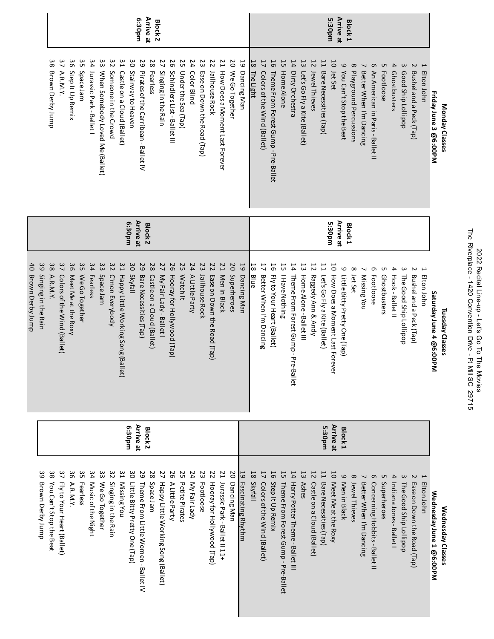| he Riverplace<br>マフワワ<br>14ZU CONGINION LINI 1- PVN - FI MIII 20 C 25710<br>.<br>המוגמות | )<br>)<br>)<br>Hectal Line-up -<br>Let's Go To The |
|------------------------------------------------------------------------------------------|----------------------------------------------------|
|------------------------------------------------------------------------------------------|----------------------------------------------------|

|                                          |                           |                               |                                   |                           |                      |                                |                                        |                                      |                                          |                                     | udos:9                                     | <b>Arrive at</b>                 | Block <sub>2</sub>                                             |                                  |                           |                      |                                   |                                   |                                                  |                     |                         |                                   |                                   |                                           |                                           |                                               |                                    |                                      |                                              | 5:30pm                                | <b>Arrive at</b>                   | <b>Block1</b>                      |                         |                                       |                         |                                         |                                                 |                                       |                 |                         |                   |
|------------------------------------------|---------------------------|-------------------------------|-----------------------------------|---------------------------|----------------------|--------------------------------|----------------------------------------|--------------------------------------|------------------------------------------|-------------------------------------|--------------------------------------------|----------------------------------|----------------------------------------------------------------|----------------------------------|---------------------------|----------------------|-----------------------------------|-----------------------------------|--------------------------------------------------|---------------------|-------------------------|-----------------------------------|-----------------------------------|-------------------------------------------|-------------------------------------------|-----------------------------------------------|------------------------------------|--------------------------------------|----------------------------------------------|---------------------------------------|------------------------------------|------------------------------------|-------------------------|---------------------------------------|-------------------------|-----------------------------------------|-------------------------------------------------|---------------------------------------|-----------------|-------------------------|-------------------|
|                                          |                           | 38<br>Brown Derby Jump        | 37<br>A.R.M.Y.                    | 96<br>Step It Up Remix    | ვ<br>Space Jam       | 34<br>Jurassic Park - Ballet I | င္ဗ<br>When Somebody Loved Me (Ballet) | 32<br>Someone in the Crowd           | 51<br>Castle on a Cloud (Ballet)         | δg<br>Stairway to Heaven            | 29<br>Pirates of the Carribean - Ballet IV | 28<br>Fearless                   | $\overline{\mathcal{L}}$<br>Singing in the Rain                | 92<br>Schindlers List-Ballet III | 55<br>Under the Sea (Tap) | 24<br>Color Blind    | 23<br>Ease on Down the Road (Tap) | 22<br>Jailhouse Rock              | $\overline{L}$<br>How Does a Moment Last Forever | δ<br>We Go Together | 19<br>Dancing Man       | $\frac{1}{8}$<br><b>The Light</b> | 17<br>Colors of the Wind (Ballet) | 16<br>Theme From Forest Gump - Pre-Ballet | 55<br>Home Alone                          | 14<br>Dirty Orchestra                         | 13<br>Let's Go Fly a Kite (Ballet) | 12<br>Jewel Thieves                  | 11<br>Bare Necessities (Tap)                 | 50<br>Jet Set                         | 6<br>You Can't Stop the Beat       | $\infty$<br>Playground Percussions | Better When I'm Dancing | თ<br>An American in Paris - Ballet II | <b>ι</b><br>Footloose   | $\overline{\mathbf{4}}$<br>Ghostbusters | $\pmb{\omega}$<br>Good Ship Lollipop            | Z<br>Bushel and a Peck (Tap)          | I<br>Elton John | Friday June 3 @6:00PM   | Monday Classes    |
|                                          |                           |                               |                                   |                           |                      |                                |                                        |                                      |                                          | mq0£:9                              | Arrive at                                  | <b>Block<sub>2</sub></b>         |                                                                |                                  |                           |                      |                                   |                                   |                                                  |                     |                         |                                   |                                   |                                           |                                           |                                               |                                    |                                      |                                              | 5:30pm                                | <b>Arrive at</b>                   | Block <sub>1</sub>                 |                         |                                       |                         |                                         |                                                 |                                       |                 |                         |                   |
| $\frac{4}{1}$<br><b>Brown Derby Jump</b> | ဖိ<br>Singing in the Rain | 38<br>A.R.M.Y.                | 37<br>Colors of the Wind (Ballet) | 36<br>Meet Me at the Roxy | 35<br>We Go Together | 34<br>Fearless                 | 33<br><b>Space Jam</b>                 | 32<br>C'mon Everybody                | 51<br>Happy Little Working Song (Ballet) | δg<br>Skyfall                       | 29<br>Bare Necessities (Tap)               | 28<br>Castle on a Cloud (Ballet) | $\overline{2}$<br>My Fair Lady - Ballet I                      | 97<br>Hooray for Hollywood (Tap) | 25<br>Watch It            | 24<br>A Little Party | 23<br>Jailhouse Rock              | 22<br>Ease on Down the Road (Tap) | <b>21</b><br>Men in Black                        | 20<br>Superheroes   | 59<br>Dancing Man       | $\frac{1}{8}$<br>Blue             | 17<br>Better When I'm Dancing     | 16<br>Fly to Your Heart (Ballet)          | 55<br>I Have Nothing                      | 14<br>Theme From Forest Gump - Pre-B<br>allet | 53<br>Home Alone - Ballet III      | $\overline{5}$<br>Raggedy Ann & Andy | $\mathbf{1}$<br>Let's Go Fly a Kite (Ballet) | 50<br>How Does a Moment Last Forever  | 6<br>Little Bitty Pretty One (Tap) | $\infty$<br>Jet Set                | Missing You             | თ<br>Footloose                        | UП<br>Ghostbusters      | $\overline{4}$<br>Hook-Ballet II        | $\boldsymbol{\omega}$<br>The Good Ship Lollipop | N<br>Bushel and a Peck (Tap)          | Elton John      | Saturday June 4 @6:00PM | Tuesday Classes   |
|                                          |                           |                               |                                   |                           |                      |                                |                                        |                                      |                                          | fi.30pm                             | Arrive at                                  | Block <sub>2</sub>               |                                                                |                                  |                           |                      |                                   |                                   |                                                  |                     |                         |                                   |                                   |                                           |                                           |                                               |                                    |                                      | 5:30pm                                       | Arrive at                             | Block <sub>1</sub>                 |                                    |                         |                                       |                         |                                         |                                                 |                                       |                 |                         |                   |
|                                          | ဖိ<br>Brown Derby Jump    | အိ<br>You Can't Stop the Beat | 37<br>Fly to Your Heart (Ballet)  | 36<br>A.R.M.Y.            | ვ<br><b>Fearless</b> | 34<br>Music of the Night       | င္ဗ<br>We Go Together                  | $\frac{8}{2}$<br>Singing in the Rain | 51<br>Missing You                        | δg<br>Little Bitty Pretty One (Tap) | 29<br>Theme From Little Women - Ballet IV  | 28<br>Space Jam                  | $\overline{\mathcal{L}}$<br>Happy Little Working Song (Ballet) | 92<br>A Little Party             | 25<br>Petite Pirates      | 24<br>My Fair Lady   | 23<br>Footloose                   | 22<br>Hooray for Hollywood (Tap)  | 21<br>Jurassic Park - Ballet II 11+              | δ<br>Dancing Man    | 5<br>Fascinating Rhythm | $\frac{1}{8}$<br><b>Skyfall</b>   | 17<br>Colors of the Wind (Ballet) | 16<br>Step It Up Remix                    | 55<br>Theme From Forest Gump - Pre-Ballet | 14<br>Harry Potter Theme - Ballet III         | 13<br><b>Ashes</b>                 | 12<br>Castle on a Cloud (Ballet)     | 11<br>Bare Necessities (Tap)                 | $\overline{0}$<br>Meet Me at the Roxy | 6<br>Men in Black                  | $\infty$<br>Jewel Thieves          | Better When I'm Dancing | 9<br>Concerning Hobbits - Ballet II   | <b>ι</b><br>Superheroes | $\overline{4}$<br>IndianaJones-Ballet I | $\mathbf \omega$<br>The Good Ship Lollipop      | $\sim$<br>Ease on Down the Road (Tap) | Elton John      | WednesdayJune 1 @6:00PM | Wednesday Classes |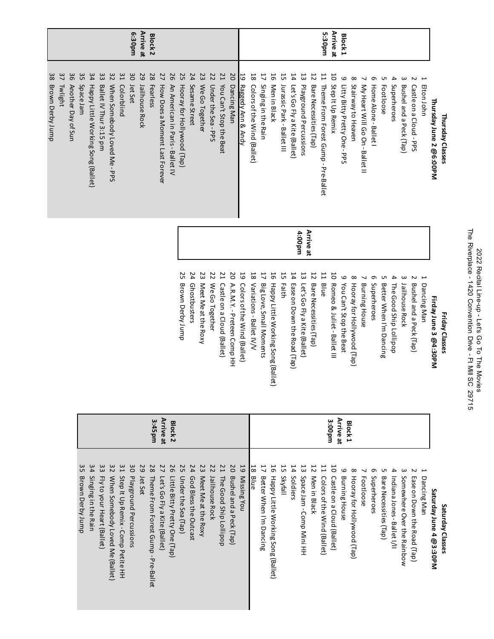| The Riverplace - 1420 Convention Drive - Ft Mill SC 29715<br>2022 Rovies<br>2022 Recital Line-que - Let's Go Tp - Dine-dial |
|-----------------------------------------------------------------------------------------------------------------------------|
|                                                                                                                             |

|                     | Thursday Classes                                                            |           | Friday Classes                                                                        |
|---------------------|-----------------------------------------------------------------------------|-----------|---------------------------------------------------------------------------------------|
|                     | Thursday June 2 @6:00PM                                                     |           | Firday June 3 @4:30PM                                                                 |
|                     | $\sim$<br>$\overline{\phantom{a}}$<br>Elton John<br>Castle on a Cloud - PPS |           | $\overline{ }$<br>Z<br>Bushel and a Peck (Tap)<br>Dancing Man                         |
|                     | $\omega$<br>Bushel and a Peck (Tap)                                         |           | $\omega$<br>Jailhouse Rock                                                            |
|                     | 4<br>Superheroes                                                            |           | 4<br>The Good Ship Lollipop                                                           |
|                     | UП<br><b>Footloose</b>                                                      |           | UП<br>Better When I'm Dancing                                                         |
|                     | 9<br>Home Alone-Ballet I                                                    |           | 9<br>Superheroes                                                                      |
|                     | My Heart Will Go On - Ballet II                                             |           | <b>Burning House</b>                                                                  |
|                     | $\infty$<br>Stairway to Heaven                                              |           | $\infty$<br>Hooray for Hollywood (Tap)                                                |
| Block1              | 6<br>Litty Bitty Pretty One-PPS                                             |           | 6<br>You Can't Stop the Beat                                                          |
| Arrive at           | 50<br>Step It Up Remix                                                      |           | 5<br>Romeo & Juliet - Ballet III                                                      |
| 5:30pm              | 11<br>Theme From Forest Gump - Pre-Ballet                                   |           | 11<br><b>Blue</b>                                                                     |
|                     | 12<br>Bare Necessities (Tap)                                                | Arrive at | 12<br>Bare Necessities (Tap)                                                          |
|                     | 13<br>Playground Percussions                                                | uud00:t   | 13<br>Let's Go Fly a Kite (Ballet)                                                    |
|                     | 14<br>Let's Go Fly a Kite (Ballet)                                          |           | 14<br>Ease on Down the Road (Tap)                                                     |
|                     | 55<br>Jurassic Park - Ballet III                                            |           | 5<br>Faith                                                                            |
|                     | 56<br>Singing in the Rain<br>Men in Black                                   |           | $\overline{L}$<br>91<br>Big Love, Small Moments<br>Happy Little Working Song (Ballet) |
|                     | $\frac{1}{8}$<br>Colors of the Wind (Ballet)                                |           | 18<br>Variations - Ballet IV/V                                                        |
|                     | 19 Raggedy Ann & Andy                                                       |           | 59<br>Colors of the Wind (Ballet)                                                     |
|                     | 50<br>Dancing Man                                                           |           | SO<br>A.R.M.Y. - Preteen Comp HH                                                      |
|                     | <b>21</b><br>You Can't Stop the Beat                                        |           | 21<br>Castle on a Cloud (Ballet)                                                      |
|                     | 22<br>Under the Sea-PPS                                                     |           | 22<br>We Go Together                                                                  |
|                     | 23<br>We Go Together                                                        |           | 23<br>Meet Me at the Roxy                                                             |
|                     | 24<br>Sesame Street                                                         |           | 24<br>Ghostbusters                                                                    |
|                     | 25<br>Hooray for Hollywood (Tap)                                            |           | 25<br>Brown Derby Jump                                                                |
|                     | 56<br>An American in Paris - Ballet IV                                      |           |                                                                                       |
|                     | 27<br>How Does a Moment Last Forever                                        |           |                                                                                       |
| <b>Block2</b>       | 28<br>Fearless                                                              |           |                                                                                       |
| Arrive at           | 52<br>Jailhouse Rock                                                        |           |                                                                                       |
| udo <sub>E</sub> :9 | 30 Jet Set                                                                  |           |                                                                                       |
|                     | 51<br>Colorblind                                                            |           |                                                                                       |
|                     | 32<br>When Somebody Loved Me-PPS                                            |           |                                                                                       |
|                     | 33<br>Ballet IV Thur 3:15 pm                                                |           |                                                                                       |
|                     | 34<br>Happy Little Working Song (Ballet)                                    |           |                                                                                       |
|                     | ΩS<br>Space Jam                                                             |           |                                                                                       |
|                     | 98<br>Another Day of Sun                                                    |           |                                                                                       |
|                     | 37<br><b>Twlight</b>                                                        |           |                                                                                       |
|                     | 38<br><b>Brown Derby Jump</b>                                               |           |                                                                                       |

| Friday Classes                     |                                 | Saturday Classes                                           |
|------------------------------------|---------------------------------|------------------------------------------------------------|
| Firday June 3 @4:30PM              |                                 | Saturday June 4 @3:30PM                                    |
| Dancing Man                        |                                 | $\mapsto$<br>Dancing Man                                   |
| Bushel and a Peck (Tap)            |                                 | $\sim$<br>Lase on Down the Road (Tap)                      |
| Jailhouse Rock                     |                                 | $\omega$<br>Somewhere Over the Rainbow                     |
| The Good Ship Lollipop             |                                 | 4<br>Indiana Jones - Ballet I/II                           |
| Better Nhen Lin Dancing            |                                 | Uп<br>Bare Necessities (Tap)                               |
| Superheroes                        |                                 | 0<br>Superheroes                                           |
| <b>Burning House</b>               |                                 | <b>Footloose</b>                                           |
| Hooray for Hollywood (Tap)         |                                 | $\infty$<br>Hooray for Hollywood (Tap)                     |
| You Can't Stop the Beat            | Arrive at<br>Block <sub>1</sub> | 6<br><b>Burning House</b>                                  |
| Romeo & Juliet - Ballet III        | 3:00pm                          | 5<br>Castle on a Cloud (Ballet)                            |
| Blue                               |                                 | $\overline{11}$<br>Colors of the Wind (Ballet)             |
| Bare Necessities (Tap)             |                                 | $\overline{5}$<br>Men in Black                             |
| Let's Go Fly a Kite (Ballet)       |                                 | 13<br>Space Jam - Comp Mini HH                             |
| Ease on Down the Road (Tap)        |                                 | 14<br>Soldiers                                             |
| Faith                              |                                 | 5<br>Skyfall                                               |
| Happy Little Working Song (Ballet) |                                 | 5<br>Happy Little Working Song (Ballet)                    |
| Big Love, Small Moments            |                                 | $\frac{1}{8}$<br>$\overline{1}$<br>Better When I'm Dancing |
| Variations - Ballet IV/V           |                                 | Blue                                                       |
| Colors of the Wind (Ballet)        |                                 | 55<br>Missing You                                          |
| A.R.M.Y. - Preteen Comp HH         |                                 | 20<br>Bushel and a Peck (Tap)                              |
| Castle on a Cloud (Ballet)         |                                 | <b>21</b><br>The Good Ship Lollipop                        |
| We Go Together                     |                                 | 22<br>Jailhouse Rock                                       |
| Meet Me at the Roxy                |                                 | 23<br>Meet Me at the Roxy                                  |
| Ghostbusters                       |                                 | 24<br>God Bless the Outcast                                |
| Brown Derby Jump                   |                                 | 25<br>Under the Sea (Tap)                                  |
|                                    | <b>Block2</b>                   | 92<br>Little Bitty Pretty One (Tap)                        |
|                                    | <b>Arrive at</b>                | 27<br>Let's Go Fly a Kite (Ballet)                         |
|                                    | 3:45pm                          | 28<br>Theme From Forest Gump - Pre-Ballet                  |
|                                    |                                 | 29<br>Jet Set                                              |
|                                    |                                 | 80<br>Playground Percussions                               |
|                                    |                                 | 51<br>Step It Up Remix - Comp Petite HH                    |
|                                    |                                 | 32<br>When Somebody Loved Me (Ballet)                      |
|                                    |                                 | 33<br>Fly to your Heart (Ballet)                           |
|                                    |                                 | 34<br>Singing in the Rain                                  |
|                                    |                                 | 35<br><b>Brown Derby Jump</b>                              |
|                                    |                                 |                                                            |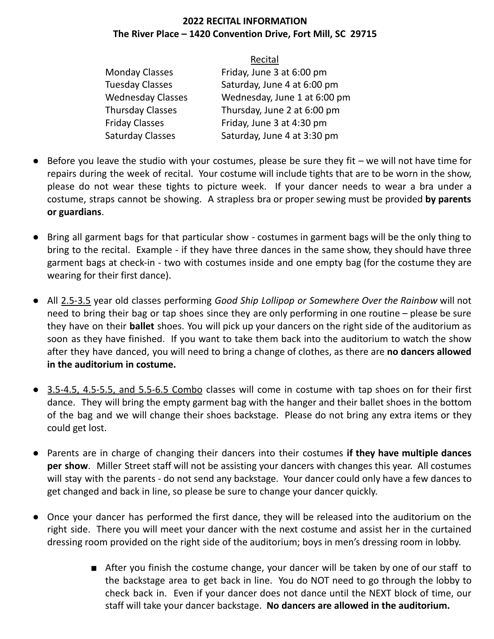#### **2022 RECITAL INFORMATION The River Place – 1420 Convention Drive, Fort Mill, SC 29715**

|                          | Recital                      |
|--------------------------|------------------------------|
| <b>Monday Classes</b>    | Friday, June 3 at 6:00 pm    |
| <b>Tuesday Classes</b>   | Saturday, June 4 at 6:00 pm  |
| <b>Wednesday Classes</b> | Wednesday, June 1 at 6:00 pm |
| <b>Thursday Classes</b>  | Thursday, June 2 at 6:00 pm  |
| <b>Friday Classes</b>    | Friday, June 3 at 4:30 pm    |
| <b>Saturday Classes</b>  | Saturday, June 4 at 3:30 pm  |

- Before you leave the studio with your costumes, please be sure they fit we will not have time for repairs during the week of recital. Your costume will include tights that are to be worn in the show, please do not wear these tights to picture week. If your dancer needs to wear a bra under a costume, straps cannot be showing. A strapless bra or proper sewing must be provided by parents **or gkardians**.
- Bring all garment bags for that particular show costumes in garment bags will be the only thing to bring to the recital. Example - if they have three dances in the same show, they should have three garment bags at check-in - two with costumes inside and one empty bag (for the costume they are wearing for their first dance).
- All 2.5-3.5 year old classes performing *Good Ship Lollipop or Somewhere Over the Rainbow* will not need to bring their bag or tap shoes since they are only performing in one routine – please be sure they have on their **ballet** shoes. You will pick up your dancers on the right side of the auditorium as soon as they have finished. If you want to take them back into the auditorium to watch the show after they have danced, you will need to bring a change of clothes, as there are no dancers allowed  $i$ **n** the auditorium in costume.
- 3.5-4.5, 4.5-5.5, and 5.5-6.5 Combo classes will come in costume with tap shoes on for their first dance. They will bring the empty garment bag with the hanger and their ballet shoes in the bottom of the bag and we will change their shoes backstage. Please do not bring any extra items or they could get lost.
- **•** Parents are in charge of changing their dancers into their costumes **if they have multiple dances per show**. Miller Street staff will not be assisting your dancers with changes this year. All costumes will stay with the parents - do not send any backstage. Your dancer could only have a few dances to get changed and back in line, so please be sure to change your dancer quickly.
- Once your dancer has performed the first dance, they will be released into the auditorium on the right side. There you will meet your dancer with the next costume and assist her in the curtained dressing room provided on the right side of the auditorium; boys in men's dressing room in lobby.
	- After you finish the costume change, your dancer will be taken by one of our staff to the backstage area to get back in line. You do NOT need to go through the lobby to check back in. Even if your dancer does not dance until the NEXT block of time, our **k** staff will take your dancer backstage. No dancers are allowed in the auditorium.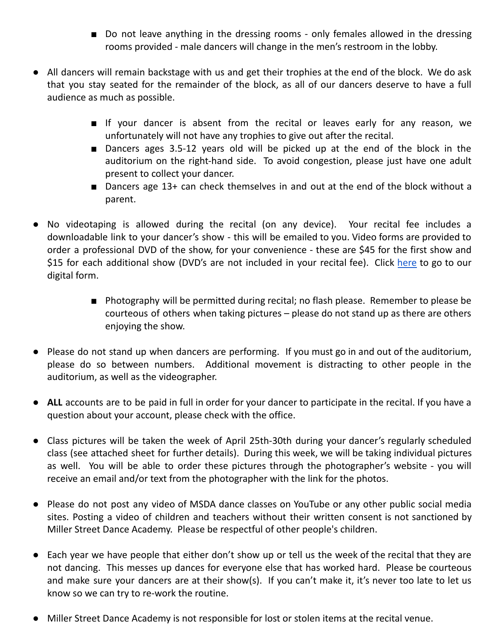- Do not leave anything in the dressing rooms only females allowed in the dressing rooms provided - male dancers will change in the men's restroom in the lobby.
- All dancers will remain backstage with us and get their trophies at the end of the block. We do ask that you stay seated for the remainder of the block, as all of our dancers deserve to have a full audience as much as possible.
	- If your dancer is absent from the recital or leaves early for any reason, we unfortunately will not have any trophies to give out after the recital.
	- Dancers ages 3.5-12 years old will be picked up at the end of the block in the auditorium on the right-hand side. To avoid congestion, please just have one adult present to collect your dancer.
	- Dancers age  $13+$  can check themselves in and out at the end of the block without a parent.
- No videotaping is allowed during the recital (on any device). Your recital fee includes a downloadable link to your dancer's show - this will be emailed to you. Video forms are provided to order a professional DVD of the show, for your convenience - these are \$45 for the first show and \$15 for each additional show (DVD's are not included in your recital fee). Click [here](https://forms.gle/SMPUHLjgjRMmFeh47) to go to our digital form.
	- Photography will be permitted during recital; no flash please. Remember to please be courteous of others when taking pictures – please do not stand up as there are others enjoying the show.
- Please do not stand up when dancers are performing. If you must go in and out of the auditorium, please do so between numbers. Additional movement is distracting to other people in the auditorium, as well as the videographer.
- **ALL** accounts are to be paid in full in order for your dancer to participate in the recital. If you have a question about your account, please check with the office.
- Class pictures will be taken the week of April 25th-30th during your dancer's regularly scheduled class (see attached sheet for further details). During this week, we will be taking individual pictures as well. You will be able to order these pictures through the photographer's website - you will receive an email and/or text from the photographer with the link for the photos.
- Please do not post any video of MSDA dance classes on YouTube or any other public social media sites. Posting a video of children and teachers without their written consent is not sanctioned by Miller Street Dance Academy. Please be respectful of other people's children.
- Each year we have people that either don't show up or tell us the week of the recital that they are not dancing. This messes up dances for everyone else that has worked hard. Please be courteous and make sure your dancers are at their show(s). If you can't make it, it's never too late to let us know so we can try to re-work the routine.
- Miller Street Dance Academy is not responsible for lost or stolen items at the recital venue.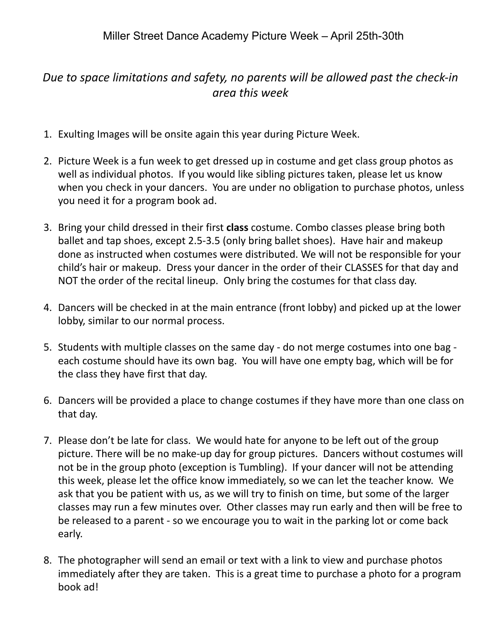#### Due to space limitations and safety, no parents will be allowed past the check-in area this week

- 1. Exulting Images will be onsite again this year during Picture Week.
- 2. Picture Week is a fun week to get dressed up in costume and get class group photos as well as individual photos. If you would like sibling pictures taken, please let us know when you check in your dancers. You are under no obligation to purchase photos, unless you need it for a program book ad.
- 3. Bring your child dressed in their first class costume. Combo classes please bring both ballet and tap shoes, except 2.5-3.5 (only bring ballet shoes). Have hair and makeup done as instructed when costumes were distributed. We will not be responsible for your child's hair or makeup. Dress your dancer in the order of their CLASSES for that day and NOT the order of the recital lineup. Only bring the costumes for that class day.
- 4. Dancers will be checked in at the main entrance (front lobby) and picked up at the lower lobby, similar to our normal process.
- 5. Students with multiple classes on the same day do not merge costumes into one bag each costume should have its own bag. You will have one empty bag, which will be for the class they have first that day.
- 6. Dancers will be provided a place to change costumes if they have more than one class on that day.
- 7. Please don't be late for class. We would hate for anyone to be left out of the group picture. There will be no make-up day for group pictures. Dancers without costumes will not be in the group photo (exception is Tumbling). If your dancer will not be attending this week, please let the office know immediately, so we can let the teacher know. We ask that you be patient with us, as we will try to finish on time, but some of the larger classes may run a few minutes over. Other classes may run early and then will be free to be released to a parent - so we encourage you to wait in the parking lot or come back early.
- 8. The photographer will send an email or text with a link to view and purchase photos immediately after they are taken. This is a great time to purchase a photo for a program book ad!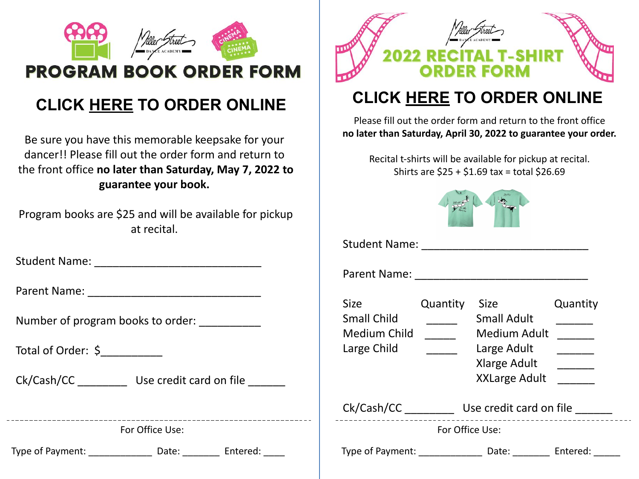

## CLICK [HERE](https://forms.gle/2wAVVTiCZeH7e9K68) TO ORDER ONLINE

Be sure you have this memorable keepsake for your dancer!! Please fill out the order form and return to the front office no later than Saturday, May 7, 2022 to guarantee your book.

Program books are \$25 and will be available for pickup at recital.

Student Name: **Example 2018** 

Parent Name: **Example 20** 

Number of program books to order:

Total of Order: \$

Ck/Cash/CC Use credit card on file

For Office Use:

Type of Payment: Letture and Date: Letture Entered:



# CLICK [HERE](https://forms.gle/5nCrnSJ27uTLW8Ky7) TO ORDER ONLINE

Please fill out the order form and return to the front office no later than Saturday, April 30, 2022 to guarantee your order.

Recital t-shirts will be available for pickup at recital. Shirts are \$25 + \$1.69 tax = total \$26.69



Student Name: \_\_\_\_\_\_\_\_\_\_\_\_\_\_\_\_\_\_\_\_\_\_\_\_\_\_\_

Parent Name: \_\_\_\_\_\_\_\_\_\_\_\_\_\_\_\_\_\_\_\_\_\_\_\_\_\_\_\_

| <b>Size</b>                                       | Quantity        | <b>Size</b>                                                                               | Quantity |
|---------------------------------------------------|-----------------|-------------------------------------------------------------------------------------------|----------|
| <b>Small Child</b><br>Medium Child<br>Large Child |                 | <b>Small Adult</b><br>Medium Adult<br>Large Adult<br>Xlarge Adult<br><b>XXLarge Adult</b> |          |
| Ck/Cash/CC                                        |                 | Use credit card on file                                                                   |          |
|                                                   | For Office Use: |                                                                                           |          |
| Type of Payment:                                  |                 | Date:                                                                                     | Entered: |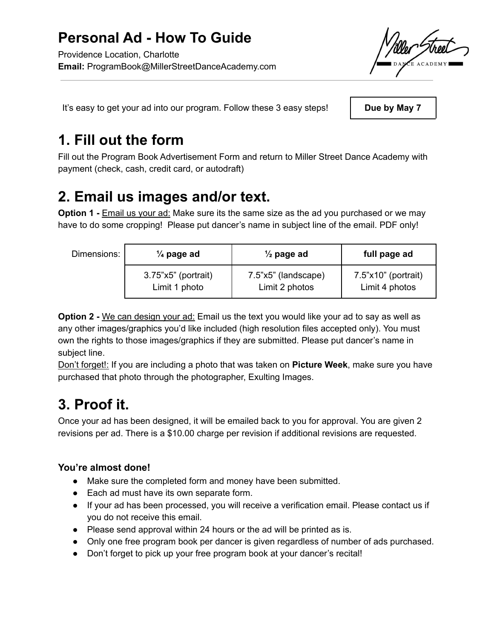It's easy to get your ad into our program. Follow these 3 easy steps!

Due by May 7

# 1. Fill out the form

Fill out the Program Book Advertisement Form and return to Miller Street Dance Academy with payment (check, cash, credit card, or autodraft)

# 2. Email us images and/or text.

Option 1 - Email us your ad: Make sure its the same size as the ad you purchased or we may have to do some cropping! Please put dancer's name in subject line of the email. PDF only!

#### Dimensions:

| $\frac{1}{4}$ page ad | $\frac{1}{2}$ page ad | full page ad                 |
|-----------------------|-----------------------|------------------------------|
| $3.75"x5"$ (portrait) | 7.5"x5" (landscape)   | $7.5" \times 10"$ (portrait) |
| Limit 1 photo         | Limit 2 photos        | Limit 4 photos               |

**Option 2 -** We can design your ad: Email us the text you would like your ad to say as well as any other images/graphics you'd like included (high resolution files accepted only). You must own the rights to those images/graphics if they are submitted. Please put dancer's name in subject line.

Don't forget!: If you are including a photo that was taken on Picture Week, make sure you have purchased that photo through the photographer, Exulting Images.

# 3. Proof it.

Once your ad has been designed, it will be emailed back to you for approval. You are given 2 revisions per ad. There is a \$10.00 charge per revision if additional revisions are requested.

#### You're almost done!

- Make sure the completed form and money have been submitted.
- Each ad must have its own separate form.
- If your ad has been processed, you will receive a verification email. Please contact us if you do not receive this email.
- Please send approval within 24 hours or the ad will be printed as is.
- Only one free program book per dancer is given regardless of number of ads purchased.
- Don't forget to pick up your free program book at your dancer's recital!